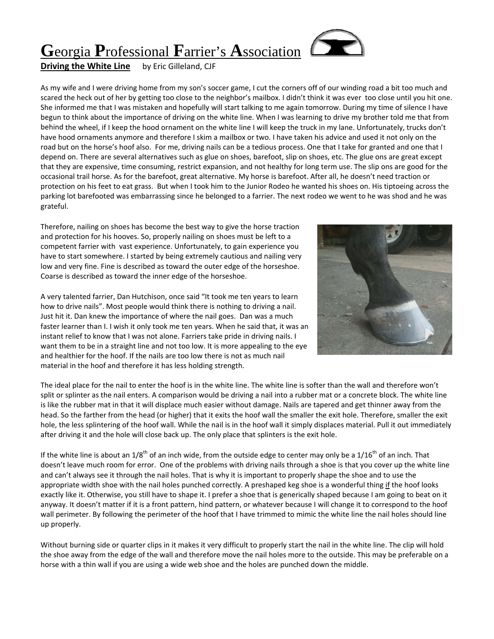# **G**eorgia **P**rofessional **F**arrier's **A**ssociation

# **Driving the White Line** by Eric Gilleland, CJF

As my wife and I were driving home from my son's soccer game, I cut the corners off of our winding road a bit too much and scared the heck out of her by getting too close to the neighbor's mailbox. I didn't think it was ever too close until you hit one. She informed me that I was mistaken and hopefully will start talking to me again tomorrow. During my time of silence I have begun to think about the importance of driving on the white line. When I was learning to drive my brother told me that from behind the wheel, if I keep the hood ornament on the white line I will keep the truck in my lane. Unfortunately, trucks don't have hood ornaments anymore and therefore I skim a mailbox or two. I have taken his advice and used it not only on the road but on the horse's hoof also. For me, driving nails can be a tedious process. One that I take for granted and one that I depend on. There are several alternatives such as glue on shoes, barefoot, slip on shoes, etc. The glue ons are great except that they are expensive, time consuming, restrict expansion, and not healthy for long term use. The slip ons are good for the occasional trail horse. As for the barefoot, great alternative. My horse is barefoot. After all, he doesn't need traction or protection on his feet to eat grass. But when I took him to the Junior Rodeo he wanted his shoes on. His tiptoeing across the parking lot barefooted was embarrassing since he belonged to a farrier. The next rodeo we went to he was shod and he was grateful.

Therefore, nailing on shoes has become the best way to give the horse traction and protection for his hooves. So, properly nailing on shoes must be left to a competent farrier with vast experience. Unfortunately, to gain experience you have to start somewhere. I started by being extremely cautious and nailing very low and very fine. Fine is described as toward the outer edge of the horseshoe. Coarse is described as toward the inner edge of the horseshoe.



A very talented farrier, Dan Hutchison, once said "It took me ten years to learn how to drive nails". Most people would think there is nothing to driving a nail. Just hit it. Dan knew the importance of where the nail goes. Dan was a much faster learner than I. I wish it only took me ten years. When he said that, it was an instant relief to know that I was not alone. Farriers take pride in driving nails. I want them to be in a straight line and not too low. It is more appealing to the eye and healthier for the hoof. If the nails are too low there is not as much nail material in the hoof and therefore it has less holding strength.

The ideal place for the nail to enter the hoof is in the white line. The white line is softer than the wall and therefore won't split or splinter as the nail enters. A comparison would be driving a nail into a rubber mat or a concrete block. The white line is like the rubber mat in that it will displace much easier without damage. Nails are tapered and get thinner away from the head. So the farther from the head (or higher) that it exits the hoof wall the smaller the exit hole. Therefore, smaller the exit hole, the less splintering of the hoof wall. While the nail is in the hoof wall it simply displaces material. Pull it out immediately after driving it and the hole will close back up. The only place that splinters is the exit hole.

If the white line is about an  $1/8^{th}$  of an inch wide, from the outside edge to center may only be a  $1/16^{th}$  of an inch. That doesn't leave much room for error. One of the problems with driving nails through a shoe is that you cover up the white line and can't always see it through the nail holes. That is why it is important to properly shape the shoe and to use the appropriate width shoe with the nail holes punched correctly. A preshaped keg shoe is a wonderful thing if the hoof looks exactly like it. Otherwise, you still have to shape it. I prefer a shoe that is generically shaped because I am going to beat on it anyway. It doesn't matter if it is a front pattern, hind pattern, or whatever because I will change it to correspond to the hoof wall perimeter. By following the perimeter of the hoof that I have trimmed to mimic the white line the nail holes should line up properly.

Without burning side or quarter clips in it makes it very difficult to properly start the nail in the white line. The clip will hold the shoe away from the edge of the wall and therefore move the nail holes more to the outside. This may be preferable on a horse with a thin wall if you are using a wide web shoe and the holes are punched down the middle.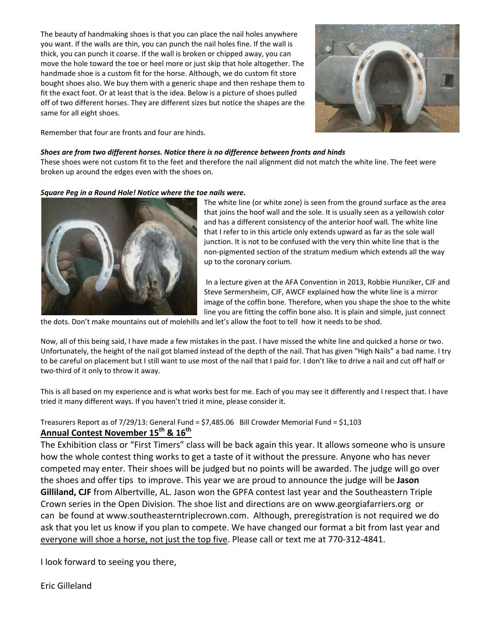The beauty of handmaking shoes is that you can place the nail holes anywhere you want. If the walls are thin, you can punch the nail holes fine. If the wall is thick, you can punch it coarse. If the wall is broken or chipped away, you can move the hole toward the toe or heel more or just skip that hole altogether. The handmade shoe is a custom fit for the horse. Although, we do custom fit store bought shoes also. We buy them with a generic shape and then reshape them to fit the exact foot. Or at least that is the idea. Below is a picture of shoes pulled off of two different horses. They are different sizes but notice the shapes are the same for all eight shoes.



Remember that four are fronts and four are hinds.

#### *Shoes are from two different horses. Notice there is no difference between fronts and hinds*

These shoes were not custom fit to the feet and therefore the nail alignment did not match the white line. The feet were broken up around the edges even with the shoes on.

#### *Square Peg in a Round Hole! Notice where the toe nails were.*



The white line (or white zone) is seen from the ground surface as the area that joins the hoof wall and the sole. It is usually seen as a yellowish color and has a different consistency of the anterior hoof wall. The white line that I refer to in this article only extends upward as far as the sole wall junction. It is not to be confused with the very thin white line that is the non‐pigmented section of the stratum medium which extends all the way up to the coronary corium.

In a lecture given at the AFA Convention in 2013, Robbie Hunziker, CJF and Steve Sermersheim, CJF, AWCF explained how the white line is a mirror image of the coffin bone. Therefore, when you shape the shoe to the white line you are fitting the coffin bone also. It is plain and simple, just connect

the dots. Don't make mountains out of molehills and let's allow the foot to tell how it needs to be shod.

Now, all of this being said, I have made a few mistakes in the past. I have missed the white line and quicked a horse or two. Unfortunately, the height of the nail got blamed instead of the depth of the nail. That has given "High Nails" a bad name. I try to be careful on placement but I still want to use most of the nail that I paid for. I don't like to drive a nail and cut off half or two-third of it only to throw it away.

This is all based on my experience and is what works best for me. Each of you may see it differently and I respect that. I have tried it many different ways. If you haven't tried it mine, please consider it.

## Treasurers Report as of 7/29/13: General Fund = \$7,485.06 Bill Crowder Memorial Fund = \$1,103 **Annual Contest November 15th & 16th**

The Exhibition class or "First Timers" class will be back again this year. It allows someone who is unsure how the whole contest thing works to get a taste of it without the pressure. Anyone who has never competed may enter. Their shoes will be judged but no points will be awarded. The judge will go over the shoes and offer tips to improve. This year we are proud to announce the judge will be **Jason Gilliland, CJF** from Albertville, AL. Jason won the GPFA contest last year and the Southeastern Triple Crown series in the Open Division. The shoe list and directions are on www.georgiafarriers.org or can be found at www.southeasterntriplecrown.com. Although, preregistration is not required we do ask that you let us know if you plan to compete. We have changed our format a bit from last year and everyone will shoe a horse, not just the top five. Please call or text me at 770-312-4841.

I look forward to seeing you there,

Eric Gilleland